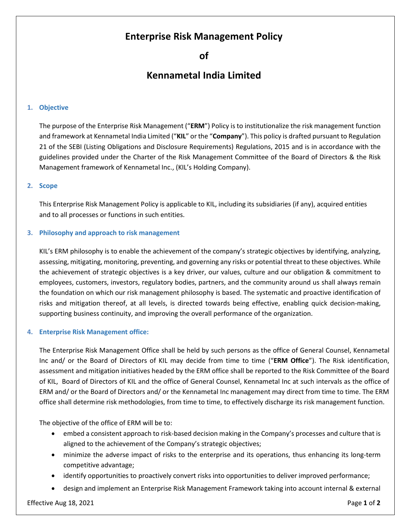## **Enterprise Risk Management Policy**

**of**

# **Kennametal India Limited**

### **1. Objective**

The purpose of the Enterprise Risk Management ("**ERM**") Policy is to institutionalize the risk management function and framework at Kennametal India Limited ("**KIL**" or the "**Company**"). This policy is drafted pursuant to Regulation 21 of the SEBI (Listing Obligations and Disclosure Requirements) Regulations, 2015 and is in accordance with the guidelines provided under the Charter of the Risk Management Committee of the Board of Directors & the Risk Management framework of Kennametal Inc., (KIL's Holding Company).

#### **2. Scope**

This Enterprise Risk Management Policy is applicable to KIL, including its subsidiaries (if any), acquired entities and to all processes or functions in such entities.

#### **3. Philosophy and approach to risk management**

KIL's ERM philosophy is to enable the achievement of the company's strategic objectives by identifying, analyzing, assessing, mitigating, monitoring, preventing, and governing any risks or potential threat to these objectives. While the achievement of strategic objectives is a key driver, our values, culture and our obligation & commitment to employees, customers, investors, regulatory bodies, partners, and the community around us shall always remain the foundation on which our risk management philosophy is based. The systematic and proactive identification of risks and mitigation thereof, at all levels, is directed towards being effective, enabling quick decision-making, supporting business continuity, and improving the overall performance of the organization.

## **4. Enterprise Risk Management office:**

The Enterprise Risk Management Office shall be held by such persons as the office of General Counsel, Kennametal Inc and/ or the Board of Directors of KIL may decide from time to time ("**ERM Office**"). The Risk identification, assessment and mitigation initiatives headed by the ERM office shall be reported to the Risk Committee of the Board of KIL, Board of Directors of KIL and the office of General Counsel, Kennametal Inc at such intervals as the office of ERM and/ or the Board of Directors and/ or the Kennametal Inc management may direct from time to time. The ERM office shall determine risk methodologies, from time to time, to effectively discharge its risk management function.

The objective of the office of ERM will be to:

- embed a consistent approach to risk-based decision making in the Company's processes and culture that is aligned to the achievement of the Company's strategic objectives;
- minimize the adverse impact of risks to the enterprise and its operations, thus enhancing its long-term competitive advantage;
- identify opportunities to proactively convert risks into opportunities to deliver improved performance;
- design and implement an Enterprise Risk Management Framework taking into account internal & external

#### Effective Aug 18, 2021 Page **1** of **2**